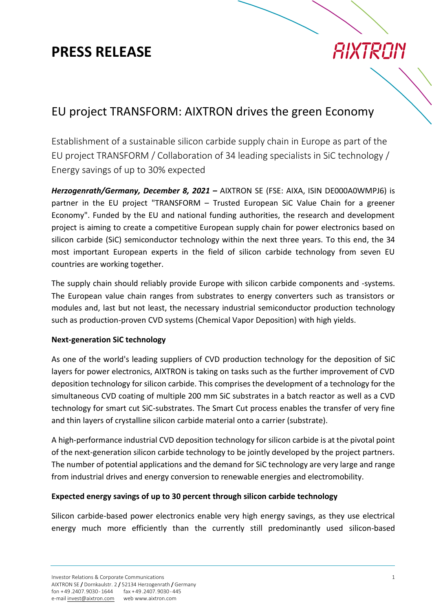### **PRESS RELEASE**

## AIXTRON

### EU project TRANSFORM: AIXTRON drives the green Economy

Establishment of a sustainable silicon carbide supply chain in Europe as part of the EU project TRANSFORM / Collaboration of 34 leading specialists in SiC technology / Energy savings of up to 30% expected

*Herzogenrath/Germany, December 8, 2021 –* AIXTRON SE (FSE: AIXA, ISIN DE000A0WMPJ6) is partner in the EU project "TRANSFORM – Trusted European SiC Value Chain for a greener Economy". Funded by the EU and national funding authorities, the research and development project is aiming to create a competitive European supply chain for power electronics based on silicon carbide (SiC) semiconductor technology within the next three years. To this end, the 34 most important European experts in the field of silicon carbide technology from seven EU countries are working together.

The supply chain should reliably provide Europe with silicon carbide components and -systems. The European value chain ranges from substrates to energy converters such as transistors or modules and, last but not least, the necessary industrial semiconductor production technology such as production-proven CVD systems (Chemical Vapor Deposition) with high yields.

### **Next-generation SiC technology**

As one of the world's leading suppliers of CVD production technology for the deposition of SiC layers for power electronics, AIXTRON is taking on tasks such as the further improvement of CVD deposition technology for silicon carbide. This comprises the development of a technology for the simultaneous CVD coating of multiple 200 mm SiC substrates in a batch reactor as well as a CVD technology for smart cut SiC-substrates. The Smart Cut process enables the transfer of very fine and thin layers of crystalline silicon carbide material onto a carrier (substrate).

A high-performance industrial CVD deposition technology for silicon carbide is at the pivotal point of the next-generation silicon carbide technology to be jointly developed by the project partners. The number of potential applications and the demand for SiC technology are very large and range from industrial drives and energy conversion to renewable energies and electromobility.

### **Expected energy savings of up to 30 percent through silicon carbide technology**

Silicon carbide-based power electronics enable very high energy savings, as they use electrical energy much more efficiently than the currently still predominantly used silicon-based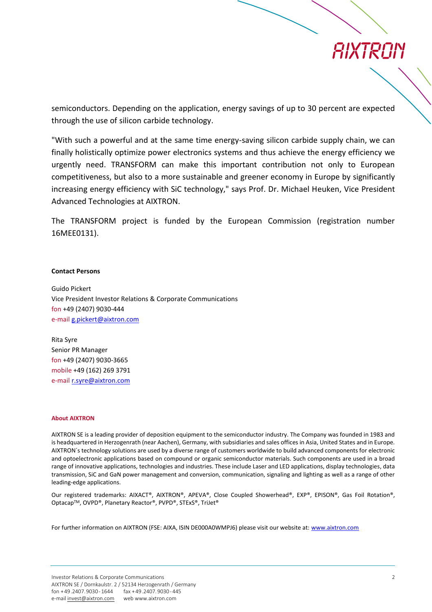### *RIXTRAN*

semiconductors. Depending on the application, energy savings of up to 30 percent are expected through the use of silicon carbide technology.

"With such a powerful and at the same time energy-saving silicon carbide supply chain, we can finally holistically optimize power electronics systems and thus achieve the energy efficiency we urgently need. TRANSFORM can make this important contribution not only to European competitiveness, but also to a more sustainable and greener economy in Europe by significantly increasing energy efficiency with SiC technology," says Prof. Dr. Michael Heuken, Vice President Advanced Technologies at AIXTRON.

The TRANSFORM project is funded by the European Commission (registration number 16MEE0131).

#### **Contact Persons**

Guido Pickert Vice President Investor Relations & Corporate Communications fon +49 (2407) 9030-444 e-mai[l g.pickert@aixtron.com](mailto:g.pickert@aixtron.com)

Rita Syre Senior PR Manager fon +49 (2407) 9030-3665 mobile +49 (162) 269 3791 e-mail [r.syre@aixtron.com](mailto:r.syre@aixtron.com)

#### **About AIXTRON**

AIXTRON SE is a leading provider of deposition equipment to the semiconductor industry. The Company was founded in 1983 and is headquartered in Herzogenrath (near Aachen), Germany, with subsidiaries and sales offices in Asia, United States and in Europe. AIXTRON´s technology solutions are used by a diverse range of customers worldwide to build advanced components for electronic and optoelectronic applications based on compound or organic semiconductor materials. Such components are used in a broad range of innovative applications, technologies and industries. These include Laser and LED applications, display technologies, data transmission, SiC and GaN power management and conversion, communication, signaling and lighting as well as a range of other leading-edge applications.

Our registered trademarks: AIXACT®, AIXTRON®, APEVA®, Close Coupled Showerhead®, EXP®, EPISON®, Gas Foil Rotation®, OptacapTM, OVPD®, Planetary Reactor®, PVPD®, STExS®, TriJet®

For further information on AIXTRON (FSE: AIXA, ISIN DE000A0WMPJ6) please visit our website at: [www.aixtron.com](http://www.aixtron.com/)